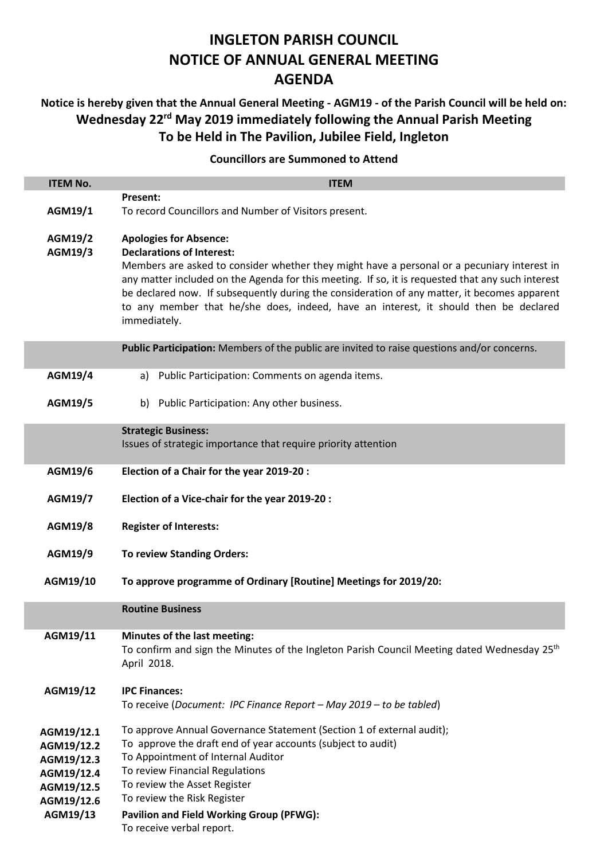# **INGLETON PARISH COUNCIL NOTICE OF ANNUAL GENERAL MEETING AGENDA**

## **Notice is hereby given that the Annual General Meeting - AGM19 - of the Parish Council will be held on: Wednesday 22 rd May 2019 immediately following the Annual Parish Meeting To be Held in The Pavilion, Jubilee Field, Ingleton**

### **Councillors are Summoned to Attend**

| <b>ITEM No.</b>    | <b>ITEM</b>                                                                                                                                                                                                                                                                                                                                                                                                                                                   |  |  |  |
|--------------------|---------------------------------------------------------------------------------------------------------------------------------------------------------------------------------------------------------------------------------------------------------------------------------------------------------------------------------------------------------------------------------------------------------------------------------------------------------------|--|--|--|
|                    | Present:                                                                                                                                                                                                                                                                                                                                                                                                                                                      |  |  |  |
| AGM19/1            | To record Councillors and Number of Visitors present.                                                                                                                                                                                                                                                                                                                                                                                                         |  |  |  |
| AGM19/2<br>AGM19/3 | <b>Apologies for Absence:</b><br><b>Declarations of Interest:</b><br>Members are asked to consider whether they might have a personal or a pecuniary interest in<br>any matter included on the Agenda for this meeting. If so, it is requested that any such interest<br>be declared now. If subsequently during the consideration of any matter, it becomes apparent<br>to any member that he/she does, indeed, have an interest, it should then be declared |  |  |  |
|                    | immediately.                                                                                                                                                                                                                                                                                                                                                                                                                                                  |  |  |  |
|                    | Public Participation: Members of the public are invited to raise questions and/or concerns.                                                                                                                                                                                                                                                                                                                                                                   |  |  |  |
| AGM19/4            | Public Participation: Comments on agenda items.<br>a)                                                                                                                                                                                                                                                                                                                                                                                                         |  |  |  |
| AGM19/5            | b) Public Participation: Any other business.                                                                                                                                                                                                                                                                                                                                                                                                                  |  |  |  |
|                    | <b>Strategic Business:</b>                                                                                                                                                                                                                                                                                                                                                                                                                                    |  |  |  |
|                    | Issues of strategic importance that require priority attention                                                                                                                                                                                                                                                                                                                                                                                                |  |  |  |
| AGM19/6            | Election of a Chair for the year 2019-20 :                                                                                                                                                                                                                                                                                                                                                                                                                    |  |  |  |
| AGM19/7            | Election of a Vice-chair for the year 2019-20 :                                                                                                                                                                                                                                                                                                                                                                                                               |  |  |  |
| <b>AGM19/8</b>     | <b>Register of Interests:</b>                                                                                                                                                                                                                                                                                                                                                                                                                                 |  |  |  |
| AGM19/9            | <b>To review Standing Orders:</b>                                                                                                                                                                                                                                                                                                                                                                                                                             |  |  |  |
| AGM19/10           | To approve programme of Ordinary [Routine] Meetings for 2019/20:                                                                                                                                                                                                                                                                                                                                                                                              |  |  |  |
|                    | <b>Routine Business</b>                                                                                                                                                                                                                                                                                                                                                                                                                                       |  |  |  |
| AGM19/11           | Minutes of the last meeting:<br>To confirm and sign the Minutes of the Ingleton Parish Council Meeting dated Wednesday 25 <sup>th</sup><br>April 2018.                                                                                                                                                                                                                                                                                                        |  |  |  |
| AGM19/12           | <b>IPC Finances:</b>                                                                                                                                                                                                                                                                                                                                                                                                                                          |  |  |  |
|                    | To receive (Document: IPC Finance Report - May 2019 - to be tabled)                                                                                                                                                                                                                                                                                                                                                                                           |  |  |  |
| AGM19/12.1         | To approve Annual Governance Statement (Section 1 of external audit);                                                                                                                                                                                                                                                                                                                                                                                         |  |  |  |
| AGM19/12.2         | To approve the draft end of year accounts (subject to audit)                                                                                                                                                                                                                                                                                                                                                                                                  |  |  |  |
| AGM19/12.3         | To Appointment of Internal Auditor                                                                                                                                                                                                                                                                                                                                                                                                                            |  |  |  |
| AGM19/12.4         | To review Financial Regulations                                                                                                                                                                                                                                                                                                                                                                                                                               |  |  |  |
| AGM19/12.5         | To review the Asset Register<br>To review the Risk Register                                                                                                                                                                                                                                                                                                                                                                                                   |  |  |  |
| AGM19/12.6         |                                                                                                                                                                                                                                                                                                                                                                                                                                                               |  |  |  |
| AGM19/13           | <b>Pavilion and Field Working Group (PFWG):</b><br>To receive verbal report.                                                                                                                                                                                                                                                                                                                                                                                  |  |  |  |